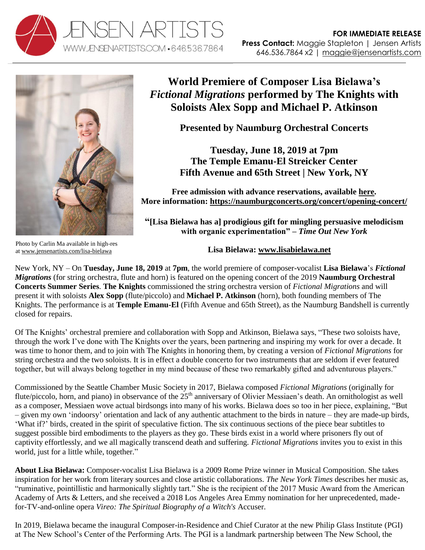



## **World Premiere of Composer Lisa Bielawa's**  *Fictional Migrations* **performed by The Knights with Soloists Alex Sopp and Michael P. Atkinson**

**Presented by Naumburg Orchestral Concerts**

**Tuesday, June 18, 2019 at 7pm The Temple Emanu-El Streicker Center Fifth Avenue and 65th Street | New York, NY** 

**Free admission with advance reservations, available [here.](https://emanuelskirballnyc.ticketleap.com/naumburg-orchestral-concert-summer-series/dates/Jun-18-2019_at_0700PM) More information:<https://naumburgconcerts.org/concert/opening-concert/>**

**"[Lisa Bielawa has a] prodigious gift for mingling persuasive melodicism with organic experimentation" –** *Time Out New York*

Photo by Carlin Ma available in high-res at [www.jensenartists.com/lisa-bielawa](http://www.jensenartists.com/lisa-bielawa)

**Lisa Bielawa: [www.lisabielawa.net](http://www.lisabielawa.net/)**

New York, NY – On **Tuesday, June 18, 2019** at **7pm**, the world premiere of composer-vocalist **Lisa Bielawa**'s *Fictional Migrations* (for string orchestra, flute and horn) is featured on the opening concert of the 2019 **Naumburg Orchestral Concerts Summer Series**. **The Knights** commissioned the string orchestra version of *Fictional Migrations* and will present it with soloists **Alex Sopp** (flute/piccolo) and **Michael P. Atkinson** (horn), both founding members of The Knights. The performance is at **Temple Emanu-El** (Fifth Avenue and 65th Street), as the Naumburg Bandshell is currently closed for repairs.

Of The Knights' orchestral premiere and collaboration with Sopp and Atkinson, Bielawa says, "These two soloists have, through the work I've done with The Knights over the years, been partnering and inspiring my work for over a decade. It was time to honor them, and to join with The Knights in honoring them, by creating a version of *Fictional Migrations* for string orchestra and the two soloists. It is in effect a double concerto for two instruments that are seldom if ever featured together, but will always belong together in my mind because of these two remarkably gifted and adventurous players."

Commissioned by the Seattle Chamber Music Society in 2017, Bielawa composed *Fictional Migrations* (originally for flute/piccolo, horn, and piano) in observance of the 25<sup>th</sup> anniversary of Olivier Messiaen's death. An ornithologist as well as a composer, Messiaen wove actual birdsongs into many of his works. Bielawa does so too in her piece, explaining, "But – given my own 'indoorsy' orientation and lack of any authentic attachment to the birds in nature – they are made-up birds, 'What if?' birds, created in the spirit of speculative fiction. The six continuous sections of the piece bear subtitles to suggest possible bird embodiments to the players as they go. These birds exist in a world where prisoners fly out of captivity effortlessly, and we all magically transcend death and suffering. *Fictional Migrations* invites you to exist in this world, just for a little while, together."

**About Lisa Bielawa:** Composer-vocalist Lisa Bielawa is a 2009 Rome Prize winner in Musical Composition. She takes inspiration for her work from literary sources and close artistic collaborations. *The New York Times* describes her music as, "ruminative, pointillistic and harmonically slightly tart." She is the recipient of the 2017 Music Award from the American Academy of Arts & Letters, and she received a 2018 Los Angeles Area Emmy nomination for her unprecedented, madefor-TV-and-online opera *Vireo: The Spiritual Biography of a Witch's* Accuser.

In 2019, Bielawa became the inaugural Composer-in-Residence and Chief Curator at the new Philip Glass Institute (PGI) at The New School's Center of the Performing Arts. The PGI is a landmark partnership between The New School, the